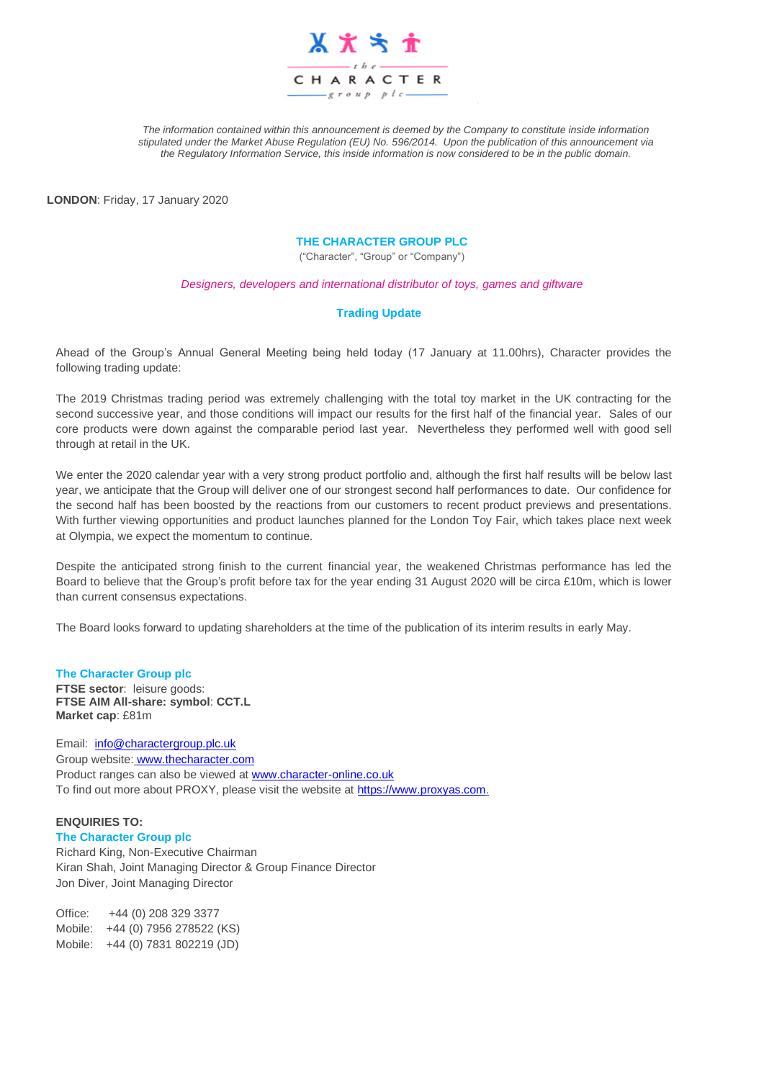

*The information contained within this announcement is deemed by the Company to constitute inside information stipulated under the Market Abuse Regulation (EU) No. 596/2014. Upon the publication of this announcement via the Regulatory Information Service, this inside information is now considered to be in the public domain.*

**LONDON**: Friday, 17 January 2020

#### **THE CHARACTER GROUP PLC**

("Character", "Group" or "Company")

*Designers, developers and international distributor of toys, games and giftware*

#### **Trading Update**

Ahead of the Group's Annual General Meeting being held today (17 January at 11.00hrs), Character provides the following trading update:

The 2019 Christmas trading period was extremely challenging with the total toy market in the UK contracting for the second successive year, and those conditions will impact our results for the first half of the financial year. Sales of our core products were down against the comparable period last year. Nevertheless they performed well with good sell through at retail in the UK.

We enter the 2020 calendar year with a very strong product portfolio and, although the first half results will be below last year, we anticipate that the Group will deliver one of our strongest second half performances to date. Our confidence for the second half has been boosted by the reactions from our customers to recent product previews and presentations. With further viewing opportunities and product launches planned for the London Toy Fair, which takes place next week at Olympia, we expect the momentum to continue.

Despite the anticipated strong finish to the current financial year, the weakened Christmas performance has led the Board to believe that the Group's profit before tax for the year ending 31 August 2020 will be circa £10m, which is lower than current consensus expectations.

The Board looks forward to updating shareholders at the time of the publication of its interim results in early May.

#### **The Character Group plc FTSE sector**: leisure goods: **FTSE AIM All-share: symbol**: **CCT.L Market cap**: £81m

Email: [info@charactergroup.plc.uk](mailto:info@charactergroup.plc.uk) Group website: [www.thecharacter.com](http://www.thecharacter.com/)  Product ranges can also be viewed at [www.character-online.co.uk](http://www.character-online.co.uk/) To find out more about PROXY, please visit the website at [https://www.proxyas.com.](https://www.proxyas.com/)

#### **ENQUIRIES TO:**

**The Character Group plc**

Richard King, Non-Executive Chairman Kiran Shah, Joint Managing Director & Group Finance Director Jon Diver, Joint Managing Director

Office: +44 (0) 208 329 3377 Mobile: +44 (0) 7956 278522 (KS) Mobile: +44 (0) 7831 802219 (JD)